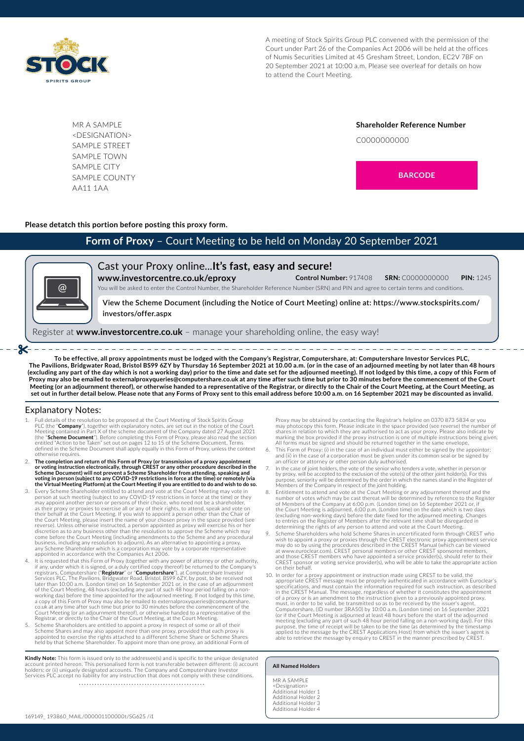

A meeting of Stock Spirits Group PLC convened with the permission of the Court under Part 26 of the Companies Act 2006 will be held at the offices of Numis Securities Limited at 45 Gresham Street, London, EC2V 7BF on 20 September 2021 at 10:00 a.m. Please see overleaf for details on how to attend the Court Meeting.

MR A SAMPLE <DESIGNATION> SAMPLE STREET SAMPLE TOWN SAMPLE CITY SAMPLE COUNTY AA11 1AA

**Shareholder Reference Number** C0000000000



### **Please detatch this portion before posting this proxy form.**

# **Form of Proxy** – Court Meeting to be held on Monday 20 September 2021



- ≫

Cast your Proxy online...**It's fast, easy and secure! www.investorcentre.co.uk/eproxy Control Number:** 917408 **SRN:** C0000000000 **PIN:** 1245

You will be asked to enter the Control Number, the Shareholder Reference Number (SRN) and PIN and agree to certain terms and conditions.

**View the Scheme Document (including the Notice of Court Meeting) online at: https://www.stockspirits.com/ investors/offer.aspx** 

Register at **www.investorcentre.co.uk** – manage your shareholding online, the easy way!

**To be effective, all proxy appointments must be lodged with the Company's Registrar, Computershare, at: Computershare Investor Services PLC, The Pavilions, Bridgwater Road, Bristol BS99 6ZY by Thursday 16 September 2021 at 10.00 a.m. (or in the case of an adjourned meeting by not later than 48 hours (excluding any part of the day which is not a working day) prior to the time and date set for the adjourned meeting). If not lodged by this time, a copy of this Form of Proxy may also be emailed to externalproxyqueries@computershare.co.uk at any time after such time but prior to 30 minutes before the commencement of the Court Meeting (or an adjournment thereof), or otherwise handed to a representative of the Registrar, or directly to the Chair of the Court Meeting, at the Court Meeting, as set out in further detail below. Please note that any Forms of Proxy sent to this email address before 10:00 a.m. on 16 September 2021 may be discounted as invalid.**

#### Explanatory Notes:

1. Full details of the resolution to be proposed at the Court Meeting of Stock Spirits Group PLC (the "**Company**"), together with explanatory notes, are set out in the notice of the Court<br>Meeting contained in Part X of the scheme document of the Company dated 27 August 2021<br>(the "**Scheme Document**"). Before comple defined in the Scheme Document shall apply equally in this Form of Proxy, unless the context otherwise requires.

\_\_\_\_\_\_\_\_\_\_\_\_\_\_\_\_\_\_\_\_\_\_\_\_\_\_\_

- 2. The completion and return of this Form of Proxy (or transmission of a proxy appointment<br>or voting instruction electronically, through CREST or any other procedure described in the<br>Scheme Document) will not prevent a Sch
- 3. Every Scheme Shareholder entitled to attend and vote at the Court Meeting may vote in person at such meeting (subject to any COVID-19 restrictions in force at the time) or they may appoint another person or persons of their choice, who need not be a shareholder,<br>as their proxy or proxies to exercise all or any of their rights, to attend, speak and vote on<br>their behalf at the Court Meeting. If you the Court Meeting, please insert the name of your chosen proxy in the space provided (see<br>reverse). Unless otherwise instructed, a person appointed as proxy will exercise his or her<br>discretion as to any business other than appointed in accordance with the Companies Act 2006.
- 1. It is requested that this Form of Proxy (together with any power of attorney or other authority, if any, under which it is signed, or a duly certified copy thereof) be returned to the Company's<br>registrars, Computershare ("**Registrar**" or "**Computershare**"), at Computershare Investor<br>Services PLC, The Pavilions, Bridgw of the Court Meeting, 48 hours (excluding any part of such 48 hour period falling on a non-working day) before the time appointed for the adjourned meeting. If not lodged by this time, a copy of this Form of Proxy may also be emailed to externalproxyqueries@computershare.<br>co.uk at any time after such time but prior to 30 minutes before the commencement of the<br>Court Meeting (or an adjournment thereof), or Registrar, or directly to the Chair of the Court Meeting, at the Court Meeting.
- 5. Scheme Shareholders are entitled to appoint a proxy in respect of some or all of their<br>Scheme Shares and may also appoint more than one proxy, provided that each proxy is<br>appointed to exercise the rights attached to a d

**Kindly Note:** This form is issued only to the addressee(s) and is specific to the unique designated<br>account printed hereon. This personalised form is not transferable between different: (i) account<br>holders; or (ii) unique Services PLC accept no liability for any instruction that does not comply with these conditions

Proxy may be obtained by contacting the Registrar's helpline on 0370 873 5834 or you may photocopy this form. Please indicate in the space provided (see reverse) the number of shares in relation to which they are authorised to act as your proxy. Please also indicate by<br>marking the box provided if the proxy instruction is one of multiple instructions being given.<br>All forms must be signed and shou

- This Form of Proxy: (i) in the case of an individual must either be signed by the appointor; and (ii) in the case of a corporation must be given under its common seal or be signed by an officer or attorney or other person duly authorised.
- 7. In the case of joint holders, the vote of the senior who tenders a vote, whether in person or<br>by proxy, will be accepted to the exclusion of the vote(s) of the other joint holder(s). For this<br>purpose, seniority will be Members of the Company in respect of the joint holding. 8. Entitlement to attend and vote at the Court Meeting or any adjournment thereof and the
- number of votes which may be cast thereat will be determined by reference to the Register<br>of Members of the Company at 6:00 p.m. (London time) on 16 September 2021 or, if<br>the Court Meeting is adjourned, 6:00 p.m. (London t (excluding non-working days) before the date fixed for the adjourned meeting. Changes<br>to entries on the Register of Members after the relevant time shall be disregarded in<br>determining the rights of any person to attend and
- 9. Scheme Shareholders who hold Scheme Shares in uncertificated form through CREST who wish to appoint a proxy or proxies through the CREST electronic proxy appointment service<br>may do so by using the procedures described in the CREST Manual (which can be viewed<br>at www.euroclear.com). CREST personal members o and those CREST members who have appointed a service provider(s), should refer to their CREST sponsor or voting service provider(s), who will be able to take the appropriate action on their behalf.
- 10. In order for a proxy appointment or instruction made using CREST to be valid, the appropriate CREST message must be properly authenticated in accordance with Euroclear's specifications, and must contain the information required for such instruction, as described<br>in the CREST Manual. The message, regardless of whether it constitutes the appointment<br>of a proxy or is an amendment to the instr must, in order to be valid, be transmitted so as to be received by the issuer's agent,<br>Computershare, (ID number 3RA50) by 10:00 a.m. (London time) on 16 September 2021<br>(or if the Court Meeting is adjourned at least 48 hou meeting (excluding any part of such 48 hour period falling on a non-working day)). For this<br>purpose, the time of receipt will be taken to be the time (as determined by the timestamp<br>applied to the message by the CREST Appl able to retrieve the message by enquiry to CREST in the manner prescribed by CREST.

#### **All Named Holders**

MR A SAMPLE <Designation> Additional Holder 1 Additional Holder 2 Additional Holder 3 Additional Holder 4